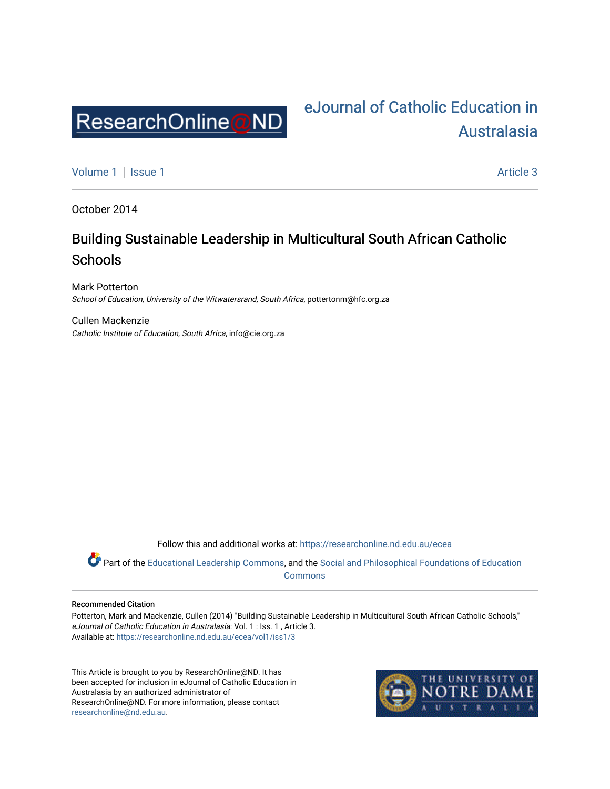

# [eJournal of Catholic Education in](https://researchonline.nd.edu.au/ecea)  [Australasia](https://researchonline.nd.edu.au/ecea)

[Volume 1](https://researchonline.nd.edu.au/ecea/vol1) | [Issue 1](https://researchonline.nd.edu.au/ecea/vol1/iss1) Article 3

October 2014

## Building Sustainable Leadership in Multicultural South African Catholic **Schools**

Mark Potterton School of Education, University of the Witwatersrand, South Africa, pottertonm@hfc.org.za

Cullen Mackenzie Catholic Institute of Education, South Africa, info@cie.org.za

Follow this and additional works at: [https://researchonline.nd.edu.au/ecea](https://researchonline.nd.edu.au/ecea?utm_source=researchonline.nd.edu.au%2Fecea%2Fvol1%2Fiss1%2F3&utm_medium=PDF&utm_campaign=PDFCoverPages) 

Part of the [Educational Leadership Commons](http://network.bepress.com/hgg/discipline/1230?utm_source=researchonline.nd.edu.au%2Fecea%2Fvol1%2Fiss1%2F3&utm_medium=PDF&utm_campaign=PDFCoverPages), and the Social and Philosophical Foundations of Education [Commons](http://network.bepress.com/hgg/discipline/799?utm_source=researchonline.nd.edu.au%2Fecea%2Fvol1%2Fiss1%2F3&utm_medium=PDF&utm_campaign=PDFCoverPages) 

#### Recommended Citation

Potterton, Mark and Mackenzie, Cullen (2014) "Building Sustainable Leadership in Multicultural South African Catholic Schools," eJournal of Catholic Education in Australasia: Vol. 1 : Iss. 1 , Article 3. Available at: [https://researchonline.nd.edu.au/ecea/vol1/iss1/3](https://researchonline.nd.edu.au/ecea/vol1/iss1/3?utm_source=researchonline.nd.edu.au%2Fecea%2Fvol1%2Fiss1%2F3&utm_medium=PDF&utm_campaign=PDFCoverPages) 

This Article is brought to you by ResearchOnline@ND. It has been accepted for inclusion in eJournal of Catholic Education in Australasia by an authorized administrator of ResearchOnline@ND. For more information, please contact [researchonline@nd.edu.au.](mailto:researchonline@nd.edu.au)

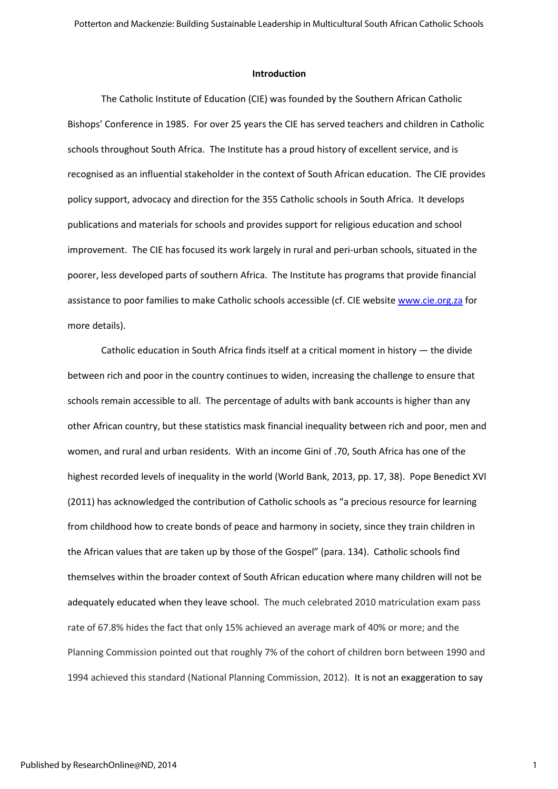#### Introduction

The Catholic Institute of Education (CIE) was founded by the Southern African Catholic Bishops' Conference in 1985. For over 25 years the CIE has served teachers and children in Catholic schools throughout South Africa. The Institute has a proud history of excellent service, and is recognised as an influential stakeholder in the context of South African education. The CIE provides policy support, advocacy and direction for the 355 Catholic schools in South Africa. It develops publications and materials for schools and provides support for religious education and school improvement. The CIE has focused its work largely in rural and peri-urban schools, situated in the poorer, less developed parts of southern Africa. The Institute has programs that provide financial assistance to poor families to make Catholic schools accessible (cf. CIE website www.cie.org.za for more details).

Catholic education in South Africa finds itself at a critical moment in history  $-$  the divide between rich and poor in the country continues to widen, increasing the challenge to ensure that schools remain accessible to all. The percentage of adults with bank accounts is higher than any other African country, but these statistics mask financial inequality between rich and poor, men and women, and rural and urban residents. With an income Gini of .70, South Africa has one of the highest recorded levels of inequality in the world (World Bank, 2013, pp. 17, 38). Pope Benedict XVI (2011) has acknowledged the contribution of Catholic schools as "a precious resource for learning from childhood how to create bonds of peace and harmony in society, since they train children in the African values that are taken up by those of the Gospel" (para. 134). Catholic schools find themselves within the broader context of South African education where many children will not be adequately educated when they leave school. The much celebrated 2010 matriculation exam pass rate of 67.8% hides the fact that only 15% achieved an average mark of 40% or more; and the Planning Commission pointed out that roughly 7% of the cohort of children born between 1990 and 1994 achieved this standard (National Planning Commission, 2012). It is not an exaggeration to say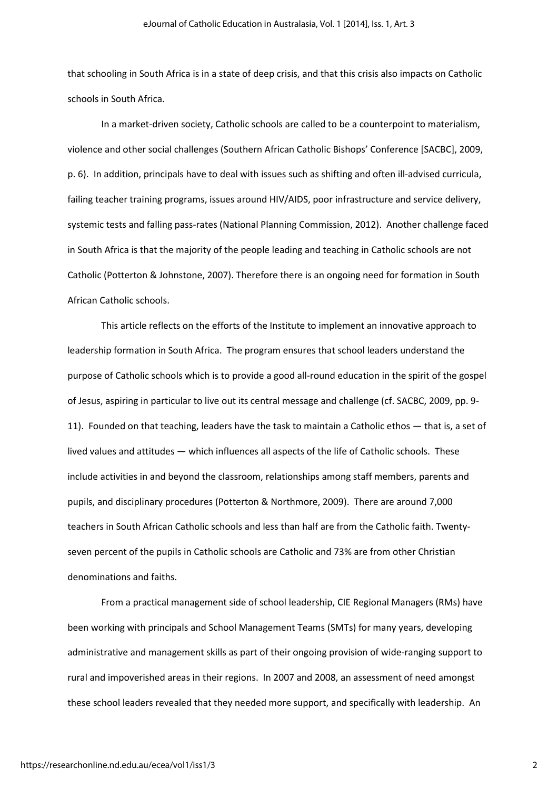that schooling in South Africa is in a state of deep crisis, and that this crisis also impacts on Catholic schools in South Africa.

In a market-driven society, Catholic schools are called to be a counterpoint to materialism, violence and other social challenges (Southern African Catholic Bishops' Conference [SACBC], 2009, p. 6). In addition, principals have to deal with issues such as shifting and often ill-advised curricula, failing teacher training programs, issues around HIV/AIDS, poor infrastructure and service delivery, systemic tests and falling pass-rates (National Planning Commission, 2012). Another challenge faced in South Africa is that the majority of the people leading and teaching in Catholic schools are not Catholic (Potterton & Johnstone, 2007). Therefore there is an ongoing need for formation in South African Catholic schools.

This article reflects on the efforts of the Institute to implement an innovative approach to leadership formation in South Africa. The program ensures that school leaders understand the purpose of Catholic schools which is to provide a good all-round education in the spirit of the gospel of Jesus, aspiring in particular to live out its central message and challenge (cf. SACBC, 2009, pp. 9- 11). Founded on that teaching, leaders have the task to maintain a Catholic ethos — that is, a set of lived values and attitudes — which influences all aspects of the life of Catholic schools. These include activities in and beyond the classroom, relationships among staff members, parents and pupils, and disciplinary procedures (Potterton & Northmore, 2009). There are around 7,000 teachers in South African Catholic schools and less than half are from the Catholic faith. Twentyseven percent of the pupils in Catholic schools are Catholic and 73% are from other Christian denominations and faiths.

From a practical management side of school leadership, CIE Regional Managers (RMs) have been working with principals and School Management Teams (SMTs) for many years, developing administrative and management skills as part of their ongoing provision of wide-ranging support to rural and impoverished areas in their regions. In 2007 and 2008, an assessment of need amongst these school leaders revealed that they needed more support, and specifically with leadership. An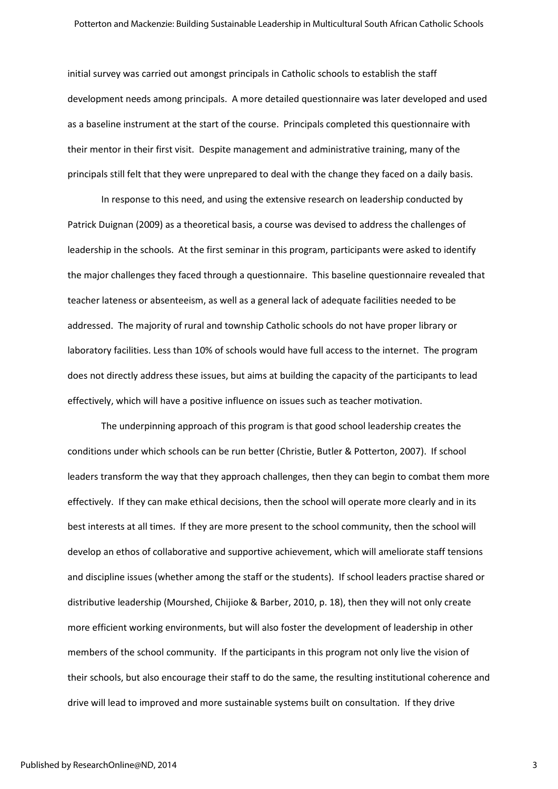initial survey was carried out amongst principals in Catholic schools to establish the staff development needs among principals. A more detailed questionnaire was later developed and used as a baseline instrument at the start of the course. Principals completed this questionnaire with their mentor in their first visit. Despite management and administrative training, many of the principals still felt that they were unprepared to deal with the change they faced on a daily basis.

In response to this need, and using the extensive research on leadership conducted by Patrick Duignan (2009) as a theoretical basis, a course was devised to address the challenges of leadership in the schools. At the first seminar in this program, participants were asked to identify the major challenges they faced through a questionnaire. This baseline questionnaire revealed that teacher lateness or absenteeism, as well as a general lack of adequate facilities needed to be addressed. The majority of rural and township Catholic schools do not have proper library or laboratory facilities. Less than 10% of schools would have full access to the internet. The program does not directly address these issues, but aims at building the capacity of the participants to lead effectively, which will have a positive influence on issues such as teacher motivation.

The underpinning approach of this program is that good school leadership creates the conditions under which schools can be run better (Christie, Butler & Potterton, 2007). If school leaders transform the way that they approach challenges, then they can begin to combat them more effectively. If they can make ethical decisions, then the school will operate more clearly and in its best interests at all times. If they are more present to the school community, then the school will develop an ethos of collaborative and supportive achievement, which will ameliorate staff tensions and discipline issues (whether among the staff or the students). If school leaders practise shared or distributive leadership (Mourshed, Chijioke & Barber, 2010, p. 18), then they will not only create more efficient working environments, but will also foster the development of leadership in other members of the school community. If the participants in this program not only live the vision of their schools, but also encourage their staff to do the same, the resulting institutional coherence and drive will lead to improved and more sustainable systems built on consultation. If they drive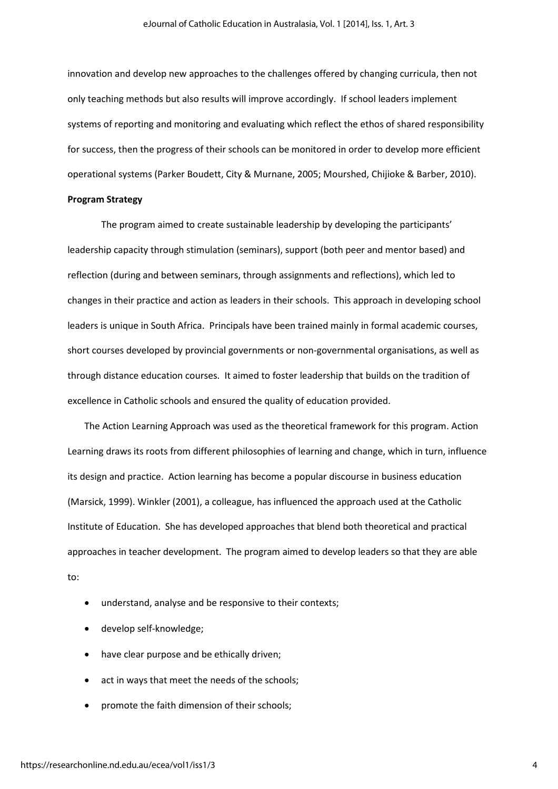innovation and develop new approaches to the challenges offered by changing curricula, then not only teaching methods but also results will improve accordingly. If school leaders implement systems of reporting and monitoring and evaluating which reflect the ethos of shared responsibility for success, then the progress of their schools can be monitored in order to develop more efficient operational systems (Parker Boudett, City & Murnane, 2005; Mourshed, Chijioke & Barber, 2010).

### Program Strategy

The program aimed to create sustainable leadership by developing the participants' leadership capacity through stimulation (seminars), support (both peer and mentor based) and reflection (during and between seminars, through assignments and reflections), which led to changes in their practice and action as leaders in their schools. This approach in developing school leaders is unique in South Africa. Principals have been trained mainly in formal academic courses, short courses developed by provincial governments or non-governmental organisations, as well as through distance education courses. It aimed to foster leadership that builds on the tradition of excellence in Catholic schools and ensured the quality of education provided.

The Action Learning Approach was used as the theoretical framework for this program. Action Learning draws its roots from different philosophies of learning and change, which in turn, influence its design and practice. Action learning has become a popular discourse in business education (Marsick, 1999). Winkler (2001), a colleague, has influenced the approach used at the Catholic Institute of Education. She has developed approaches that blend both theoretical and practical approaches in teacher development. The program aimed to develop leaders so that they are able to:

- understand, analyse and be responsive to their contexts;
- develop self-knowledge;
- have clear purpose and be ethically driven;
- act in ways that meet the needs of the schools;
- promote the faith dimension of their schools;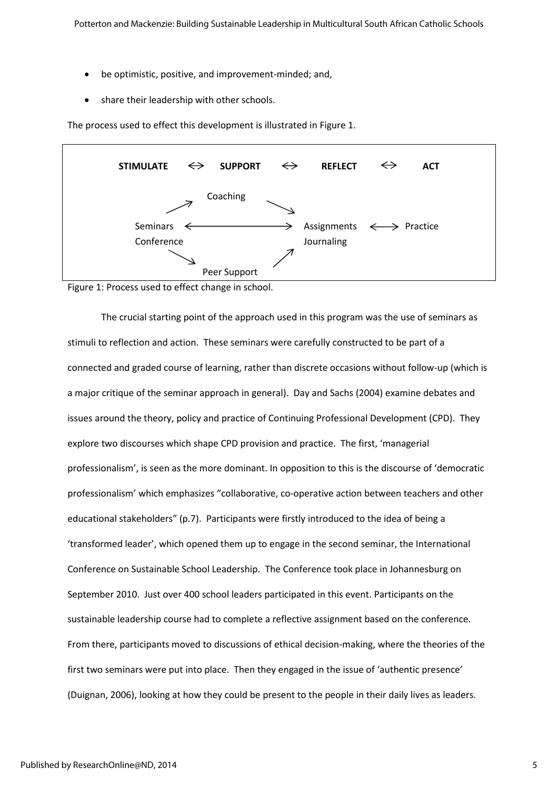- be optimistic, positive, and improvement-minded; and,
- share their leadership with other schools.

The process used to effect this development is illustrated in Figure 1.



Figure 1: Process used to effect change in school.

The crucial starting point of the approach used in this program was the use of seminars as stimuli to reflection and action. These seminars were carefully constructed to be part of a connected and graded course of learning, rather than discrete occasions without follow-up (which is a major critique of the seminar approach in general). Day and Sachs (2004) examine debates and issues around the theory, policy and practice of Continuing Professional Development (CPD). They explore two discourses which shape CPD provision and practice. The first, 'managerial professionalism', is seen as the more dominant. In opposition to this is the discourse of 'democratic professionalism' which emphasizes "collaborative, co-operative action between teachers and other educational stakeholders" (p.7). Participants were firstly introduced to the idea of being a 'transformed leader', which opened them up to engage in the second seminar, the International Conference on Sustainable School Leadership. The Conference took place in Johannesburg on September 2010. Just over 400 school leaders participated in this event. Participants on the sustainable leadership course had to complete a reflective assignment based on the conference. From there, participants moved to discussions of ethical decision-making, where the theories of the first two seminars were put into place. Then they engaged in the issue of 'authentic presence' (Duignan, 2006), looking at how they could be present to the people in their daily lives as leaders.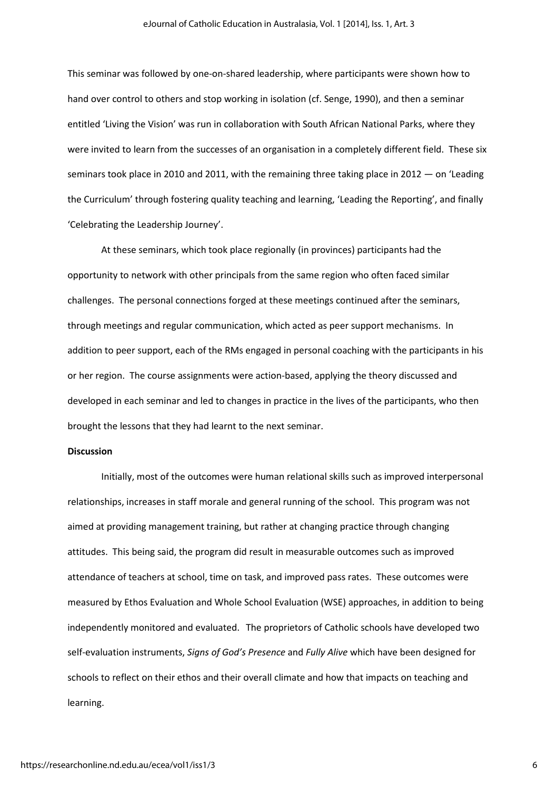This seminar was followed by one-on-shared leadership, where participants were shown how to hand over control to others and stop working in isolation (cf. Senge, 1990), and then a seminar entitled 'Living the Vision' was run in collaboration with South African National Parks, where they were invited to learn from the successes of an organisation in a completely different field. These six seminars took place in 2010 and 2011, with the remaining three taking place in 2012 — on 'Leading the Curriculum' through fostering quality teaching and learning, 'Leading the Reporting', and finally 'Celebrating the Leadership Journey'.

At these seminars, which took place regionally (in provinces) participants had the opportunity to network with other principals from the same region who often faced similar challenges. The personal connections forged at these meetings continued after the seminars, through meetings and regular communication, which acted as peer support mechanisms. In addition to peer support, each of the RMs engaged in personal coaching with the participants in his or her region. The course assignments were action-based, applying the theory discussed and developed in each seminar and led to changes in practice in the lives of the participants, who then brought the lessons that they had learnt to the next seminar.

#### Discussion

Initially, most of the outcomes were human relational skills such as improved interpersonal relationships, increases in staff morale and general running of the school. This program was not aimed at providing management training, but rather at changing practice through changing attitudes. This being said, the program did result in measurable outcomes such as improved attendance of teachers at school, time on task, and improved pass rates. These outcomes were measured by Ethos Evaluation and Whole School Evaluation (WSE) approaches, in addition to being independently monitored and evaluated. The proprietors of Catholic schools have developed two self-evaluation instruments, Signs of God's Presence and Fully Alive which have been designed for schools to reflect on their ethos and their overall climate and how that impacts on teaching and learning.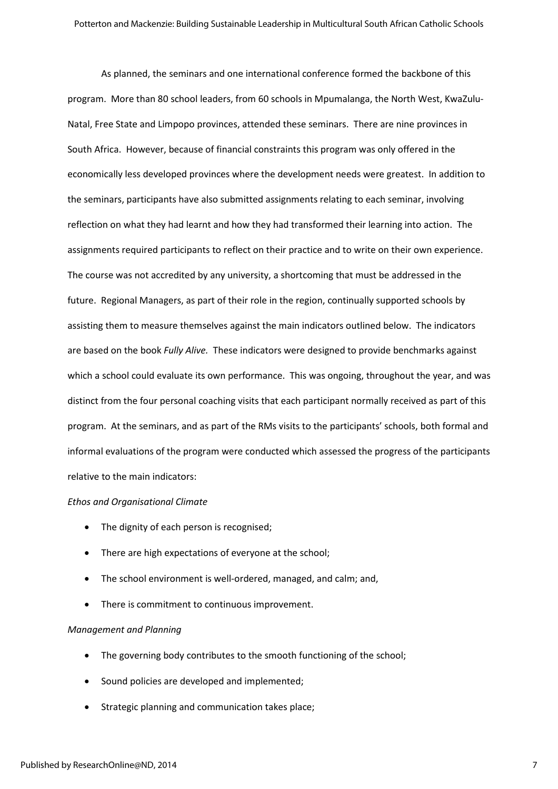As planned, the seminars and one international conference formed the backbone of this program. More than 80 school leaders, from 60 schools in Mpumalanga, the North West, KwaZulu-Natal, Free State and Limpopo provinces, attended these seminars. There are nine provinces in South Africa. However, because of financial constraints this program was only offered in the economically less developed provinces where the development needs were greatest. In addition to the seminars, participants have also submitted assignments relating to each seminar, involving reflection on what they had learnt and how they had transformed their learning into action. The assignments required participants to reflect on their practice and to write on their own experience. The course was not accredited by any university, a shortcoming that must be addressed in the future. Regional Managers, as part of their role in the region, continually supported schools by assisting them to measure themselves against the main indicators outlined below. The indicators are based on the book Fully Alive. These indicators were designed to provide benchmarks against which a school could evaluate its own performance. This was ongoing, throughout the year, and was distinct from the four personal coaching visits that each participant normally received as part of this program. At the seminars, and as part of the RMs visits to the participants' schools, both formal and informal evaluations of the program were conducted which assessed the progress of the participants relative to the main indicators:

#### Ethos and Organisational Climate

- The dignity of each person is recognised;
- There are high expectations of everyone at the school;
- The school environment is well-ordered, managed, and calm; and,
- There is commitment to continuous improvement.

#### Management and Planning

- The governing body contributes to the smooth functioning of the school;
- Sound policies are developed and implemented;
- Strategic planning and communication takes place;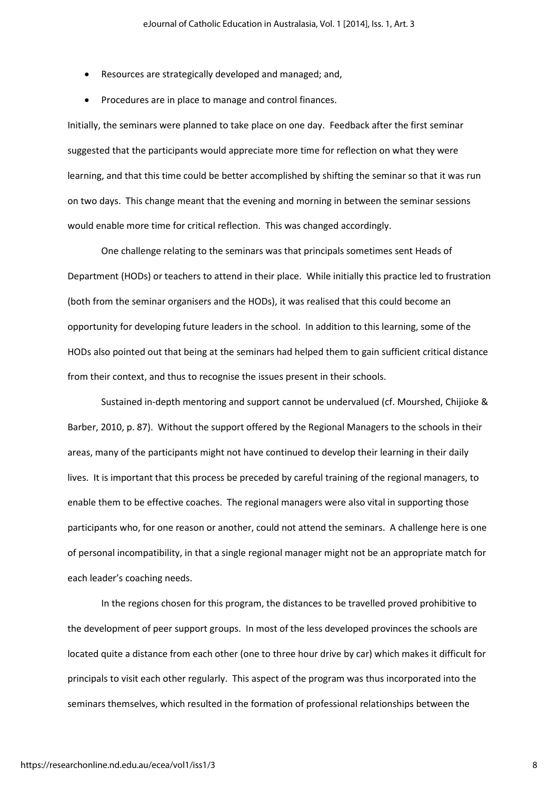- Resources are strategically developed and managed; and,
- Procedures are in place to manage and control finances.

Initially, the seminars were planned to take place on one day. Feedback after the first seminar suggested that the participants would appreciate more time for reflection on what they were learning, and that this time could be better accomplished by shifting the seminar so that it was run on two days. This change meant that the evening and morning in between the seminar sessions would enable more time for critical reflection. This was changed accordingly.

One challenge relating to the seminars was that principals sometimes sent Heads of Department (HODs) or teachers to attend in their place. While initially this practice led to frustration (both from the seminar organisers and the HODs), it was realised that this could become an opportunity for developing future leaders in the school. In addition to this learning, some of the HODs also pointed out that being at the seminars had helped them to gain sufficient critical distance from their context, and thus to recognise the issues present in their schools.

Sustained in-depth mentoring and support cannot be undervalued (cf. Mourshed, Chijioke & Barber, 2010, p. 87). Without the support offered by the Regional Managers to the schools in their areas, many of the participants might not have continued to develop their learning in their daily lives. It is important that this process be preceded by careful training of the regional managers, to enable them to be effective coaches. The regional managers were also vital in supporting those participants who, for one reason or another, could not attend the seminars. A challenge here is one of personal incompatibility, in that a single regional manager might not be an appropriate match for each leader's coaching needs.

In the regions chosen for this program, the distances to be travelled proved prohibitive to the development of peer support groups. In most of the less developed provinces the schools are located quite a distance from each other (one to three hour drive by car) which makes it difficult for principals to visit each other regularly. This aspect of the program was thus incorporated into the seminars themselves, which resulted in the formation of professional relationships between the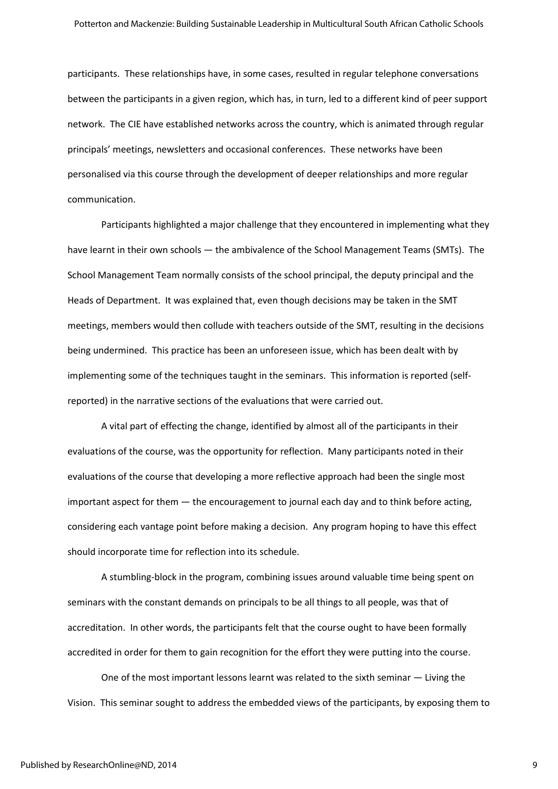participants. These relationships have, in some cases, resulted in regular telephone conversations between the participants in a given region, which has, in turn, led to a different kind of peer support network. The CIE have established networks across the country, which is animated through regular principals' meetings, newsletters and occasional conferences. These networks have been personalised via this course through the development of deeper relationships and more regular communication.

Participants highlighted a major challenge that they encountered in implementing what they have learnt in their own schools — the ambivalence of the School Management Teams (SMTs). The School Management Team normally consists of the school principal, the deputy principal and the Heads of Department. It was explained that, even though decisions may be taken in the SMT meetings, members would then collude with teachers outside of the SMT, resulting in the decisions being undermined. This practice has been an unforeseen issue, which has been dealt with by implementing some of the techniques taught in the seminars. This information is reported (selfreported) in the narrative sections of the evaluations that were carried out.

A vital part of effecting the change, identified by almost all of the participants in their evaluations of the course, was the opportunity for reflection. Many participants noted in their evaluations of the course that developing a more reflective approach had been the single most important aspect for them — the encouragement to journal each day and to think before acting, considering each vantage point before making a decision. Any program hoping to have this effect should incorporate time for reflection into its schedule.

A stumbling-block in the program, combining issues around valuable time being spent on seminars with the constant demands on principals to be all things to all people, was that of accreditation. In other words, the participants felt that the course ought to have been formally accredited in order for them to gain recognition for the effort they were putting into the course.

One of the most important lessons learnt was related to the sixth seminar — Living the Vision. This seminar sought to address the embedded views of the participants, by exposing them to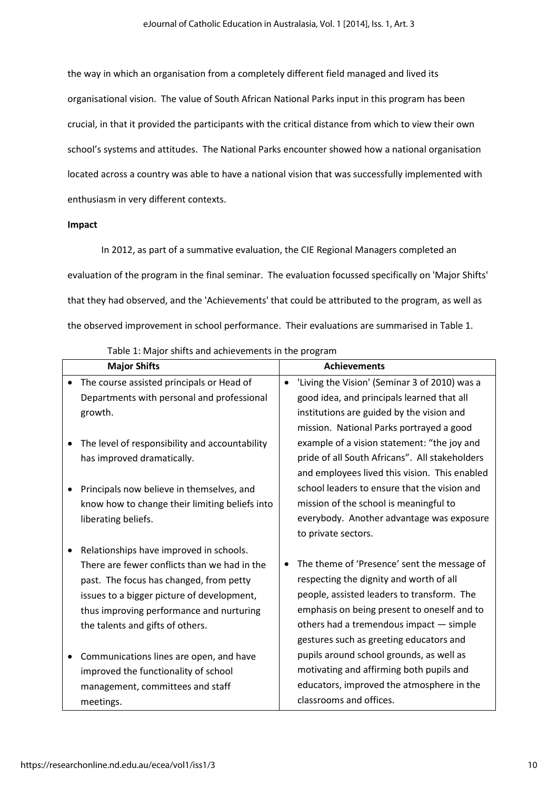the way in which an organisation from a completely different field managed and lived its organisational vision. The value of South African National Parks input in this program has been crucial, in that it provided the participants with the critical distance from which to view their own school's systems and attitudes. The National Parks encounter showed how a national organisation located across a country was able to have a national vision that was successfully implemented with enthusiasm in very different contexts.

#### Impact

In 2012, as part of a summative evaluation, the CIE Regional Managers completed an evaluation of the program in the final seminar. The evaluation focussed specifically on 'Major Shifts' that they had observed, and the 'Achievements' that could be attributed to the program, as well as the observed improvement in school performance. Their evaluations are summarised in Table 1.

| <b>Major Shifts</b>                            | <b>Achievements</b>                                        |
|------------------------------------------------|------------------------------------------------------------|
| The course assisted principals or Head of      | 'Living the Vision' (Seminar 3 of 2010) was a<br>$\bullet$ |
| Departments with personal and professional     | good idea, and principals learned that all                 |
| growth.                                        | institutions are guided by the vision and                  |
|                                                | mission. National Parks portrayed a good                   |
| The level of responsibility and accountability | example of a vision statement: "the joy and                |
| has improved dramatically.                     | pride of all South Africans". All stakeholders             |
|                                                | and employees lived this vision. This enabled              |
| Principals now believe in themselves, and      | school leaders to ensure that the vision and               |
| know how to change their limiting beliefs into | mission of the school is meaningful to                     |
| liberating beliefs.                            | everybody. Another advantage was exposure                  |
|                                                | to private sectors.                                        |
| Relationships have improved in schools.        |                                                            |
| There are fewer conflicts than we had in the   | The theme of 'Presence' sent the message of<br>$\bullet$   |
| past. The focus has changed, from petty        | respecting the dignity and worth of all                    |
| issues to a bigger picture of development,     | people, assisted leaders to transform. The                 |
| thus improving performance and nurturing       | emphasis on being present to oneself and to                |
| the talents and gifts of others.               | others had a tremendous impact - simple                    |
|                                                | gestures such as greeting educators and                    |
| Communications lines are open, and have        | pupils around school grounds, as well as                   |
| improved the functionality of school           | motivating and affirming both pupils and                   |
| management, committees and staff               | educators, improved the atmosphere in the                  |
| meetings.                                      | classrooms and offices.                                    |

Table 1: Major shifts and achievements in the program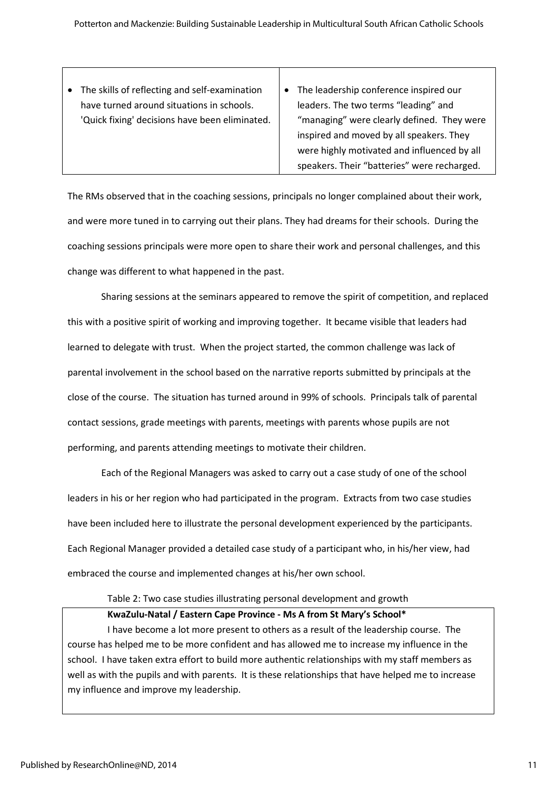| have turned around situations in schools.<br>'Quick fixing' decisions have been eliminated. | leaders. The two terms "leading" and<br>"managing" were clearly defined. They were<br>inspired and moved by all speakers. They<br>were highly motivated and influenced by all |
|---------------------------------------------------------------------------------------------|-------------------------------------------------------------------------------------------------------------------------------------------------------------------------------|
|                                                                                             |                                                                                                                                                                               |

The RMs observed that in the coaching sessions, principals no longer complained about their work, and were more tuned in to carrying out their plans. They had dreams for their schools. During the coaching sessions principals were more open to share their work and personal challenges, and this change was different to what happened in the past.

Sharing sessions at the seminars appeared to remove the spirit of competition, and replaced this with a positive spirit of working and improving together. It became visible that leaders had learned to delegate with trust. When the project started, the common challenge was lack of parental involvement in the school based on the narrative reports submitted by principals at the close of the course. The situation has turned around in 99% of schools. Principals talk of parental contact sessions, grade meetings with parents, meetings with parents whose pupils are not performing, and parents attending meetings to motivate their children.

Each of the Regional Managers was asked to carry out a case study of one of the school leaders in his or her region who had participated in the program. Extracts from two case studies have been included here to illustrate the personal development experienced by the participants. Each Regional Manager provided a detailed case study of a participant who, in his/her view, had embraced the course and implemented changes at his/her own school.

## Table 2: Two case studies illustrating personal development and growth KwaZulu-Natal / Eastern Cape Province - Ms A from St Mary's School\*

I have become a lot more present to others as a result of the leadership course. The course has helped me to be more confident and has allowed me to increase my influence in the school. I have taken extra effort to build more authentic relationships with my staff members as well as with the pupils and with parents. It is these relationships that have helped me to increase my influence and improve my leadership.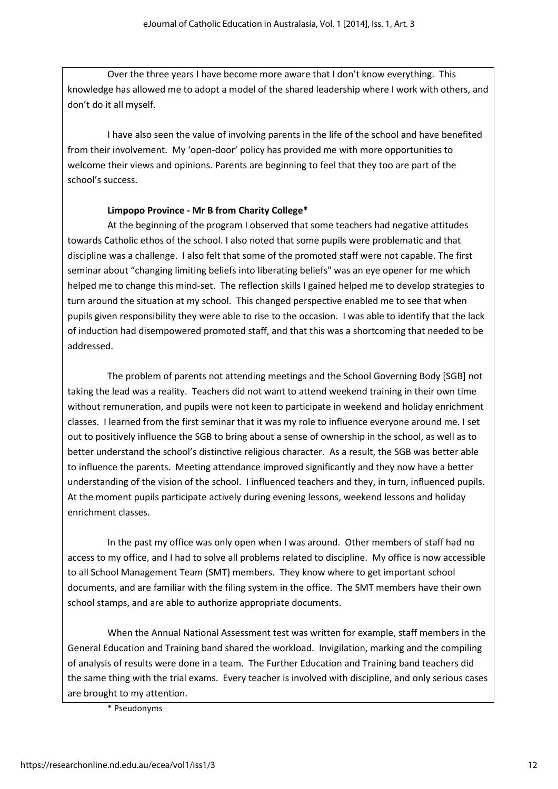Over the three years I have become more aware that I don't know everything. This knowledge has allowed me to adopt a model of the shared leadership where I work with others, and don't do it all myself.

I have also seen the value of involving parents in the life of the school and have benefited from their involvement. My 'open-door' policy has provided me with more opportunities to welcome their views and opinions. Parents are beginning to feel that they too are part of the school's success.

## Limpopo Province - Mr B from Charity College\*

At the beginning of the program I observed that some teachers had negative attitudes towards Catholic ethos of the school. I also noted that some pupils were problematic and that discipline was a challenge. I also felt that some of the promoted staff were not capable. The first seminar about "changing limiting beliefs into liberating beliefs" was an eye opener for me which helped me to change this mind-set. The reflection skills I gained helped me to develop strategies to turn around the situation at my school. This changed perspective enabled me to see that when pupils given responsibility they were able to rise to the occasion. I was able to identify that the lack of induction had disempowered promoted staff, and that this was a shortcoming that needed to be addressed.

The problem of parents not attending meetings and the School Governing Body [SGB] not taking the lead was a reality. Teachers did not want to attend weekend training in their own time without remuneration, and pupils were not keen to participate in weekend and holiday enrichment classes. I learned from the first seminar that it was my role to influence everyone around me. I set out to positively influence the SGB to bring about a sense of ownership in the school, as well as to better understand the school's distinctive religious character. As a result, the SGB was better able to influence the parents. Meeting attendance improved significantly and they now have a better understanding of the vision of the school. I influenced teachers and they, in turn, influenced pupils. At the moment pupils participate actively during evening lessons, weekend lessons and holiday enrichment classes.

In the past my office was only open when I was around. Other members of staff had no access to my office, and I had to solve all problems related to discipline. My office is now accessible to all School Management Team (SMT) members. They know where to get important school documents, and are familiar with the filing system in the office. The SMT members have their own school stamps, and are able to authorize appropriate documents.

When the Annual National Assessment test was written for example, staff members in the General Education and Training band shared the workload. Invigilation, marking and the compiling of analysis of results were done in a team. The Further Education and Training band teachers did the same thing with the trial exams. Every teacher is involved with discipline, and only serious cases are brought to my attention.

\* Pseudonyms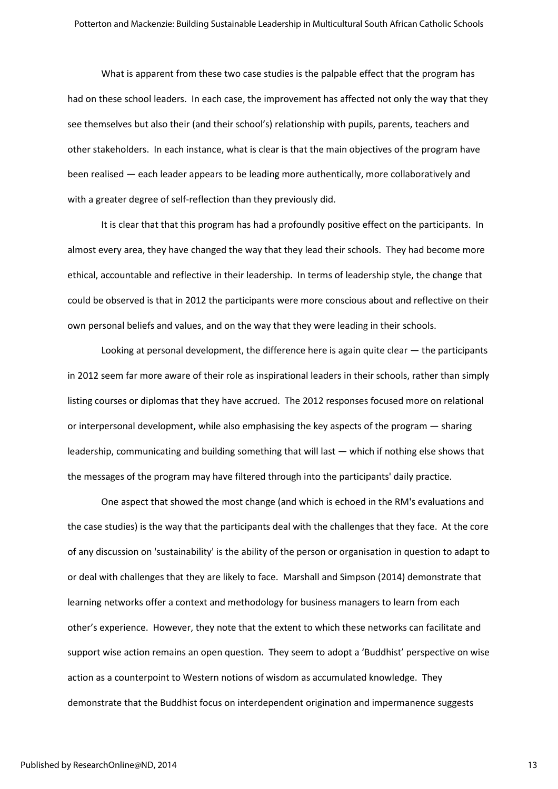What is apparent from these two case studies is the palpable effect that the program has had on these school leaders. In each case, the improvement has affected not only the way that they see themselves but also their (and their school's) relationship with pupils, parents, teachers and other stakeholders. In each instance, what is clear is that the main objectives of the program have been realised — each leader appears to be leading more authentically, more collaboratively and with a greater degree of self-reflection than they previously did.

It is clear that that this program has had a profoundly positive effect on the participants. In almost every area, they have changed the way that they lead their schools. They had become more ethical, accountable and reflective in their leadership. In terms of leadership style, the change that could be observed is that in 2012 the participants were more conscious about and reflective on their own personal beliefs and values, and on the way that they were leading in their schools.

Looking at personal development, the difference here is again quite clear — the participants in 2012 seem far more aware of their role as inspirational leaders in their schools, rather than simply listing courses or diplomas that they have accrued. The 2012 responses focused more on relational or interpersonal development, while also emphasising the key aspects of the program — sharing leadership, communicating and building something that will last — which if nothing else shows that the messages of the program may have filtered through into the participants' daily practice.

One aspect that showed the most change (and which is echoed in the RM's evaluations and the case studies) is the way that the participants deal with the challenges that they face. At the core of any discussion on 'sustainability' is the ability of the person or organisation in question to adapt to or deal with challenges that they are likely to face. Marshall and Simpson (2014) demonstrate that learning networks offer a context and methodology for business managers to learn from each other's experience. However, they note that the extent to which these networks can facilitate and support wise action remains an open question. They seem to adopt a 'Buddhist' perspective on wise action as a counterpoint to Western notions of wisdom as accumulated knowledge. They demonstrate that the Buddhist focus on interdependent origination and impermanence suggests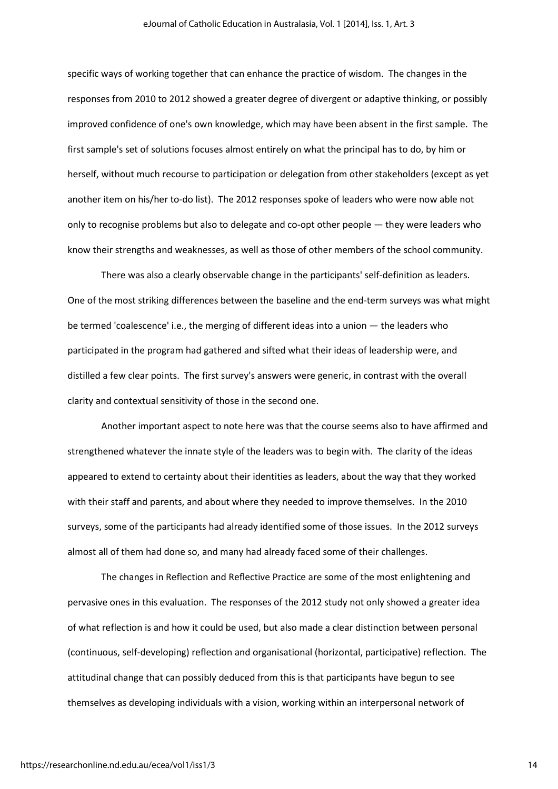specific ways of working together that can enhance the practice of wisdom. The changes in the responses from 2010 to 2012 showed a greater degree of divergent or adaptive thinking, or possibly improved confidence of one's own knowledge, which may have been absent in the first sample. The first sample's set of solutions focuses almost entirely on what the principal has to do, by him or herself, without much recourse to participation or delegation from other stakeholders (except as yet another item on his/her to-do list). The 2012 responses spoke of leaders who were now able not only to recognise problems but also to delegate and co-opt other people — they were leaders who know their strengths and weaknesses, as well as those of other members of the school community.

There was also a clearly observable change in the participants' self-definition as leaders. One of the most striking differences between the baseline and the end-term surveys was what might be termed 'coalescence' i.e., the merging of different ideas into a union — the leaders who participated in the program had gathered and sifted what their ideas of leadership were, and distilled a few clear points. The first survey's answers were generic, in contrast with the overall clarity and contextual sensitivity of those in the second one.

Another important aspect to note here was that the course seems also to have affirmed and strengthened whatever the innate style of the leaders was to begin with. The clarity of the ideas appeared to extend to certainty about their identities as leaders, about the way that they worked with their staff and parents, and about where they needed to improve themselves. In the 2010 surveys, some of the participants had already identified some of those issues. In the 2012 surveys almost all of them had done so, and many had already faced some of their challenges.

The changes in Reflection and Reflective Practice are some of the most enlightening and pervasive ones in this evaluation. The responses of the 2012 study not only showed a greater idea of what reflection is and how it could be used, but also made a clear distinction between personal (continuous, self-developing) reflection and organisational (horizontal, participative) reflection. The attitudinal change that can possibly deduced from this is that participants have begun to see themselves as developing individuals with a vision, working within an interpersonal network of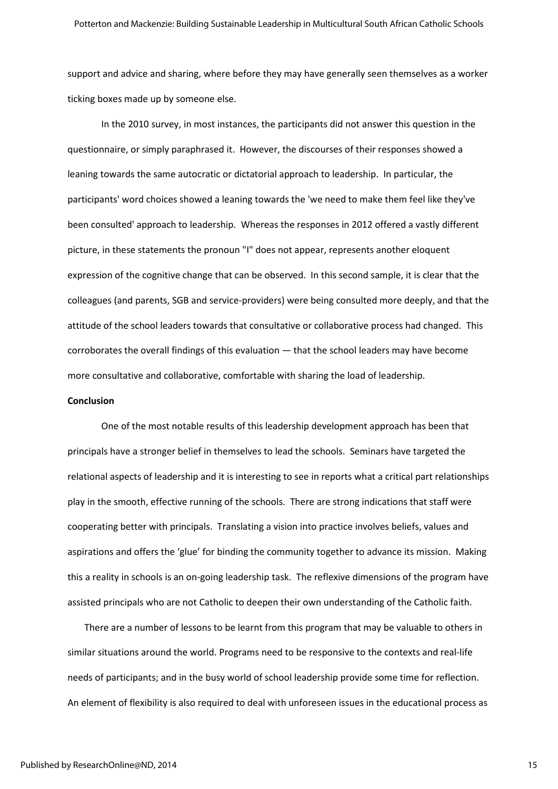support and advice and sharing, where before they may have generally seen themselves as a worker ticking boxes made up by someone else.

In the 2010 survey, in most instances, the participants did not answer this question in the questionnaire, or simply paraphrased it. However, the discourses of their responses showed a leaning towards the same autocratic or dictatorial approach to leadership. In particular, the participants' word choices showed a leaning towards the 'we need to make them feel like they've been consulted' approach to leadership. Whereas the responses in 2012 offered a vastly different picture, in these statements the pronoun "I" does not appear, represents another eloquent expression of the cognitive change that can be observed. In this second sample, it is clear that the colleagues (and parents, SGB and service-providers) were being consulted more deeply, and that the attitude of the school leaders towards that consultative or collaborative process had changed. This corroborates the overall findings of this evaluation — that the school leaders may have become more consultative and collaborative, comfortable with sharing the load of leadership.

#### **Conclusion**

One of the most notable results of this leadership development approach has been that principals have a stronger belief in themselves to lead the schools. Seminars have targeted the relational aspects of leadership and it is interesting to see in reports what a critical part relationships play in the smooth, effective running of the schools. There are strong indications that staff were cooperating better with principals. Translating a vision into practice involves beliefs, values and aspirations and offers the 'glue' for binding the community together to advance its mission. Making this a reality in schools is an on-going leadership task. The reflexive dimensions of the program have assisted principals who are not Catholic to deepen their own understanding of the Catholic faith.

There are a number of lessons to be learnt from this program that may be valuable to others in similar situations around the world. Programs need to be responsive to the contexts and real-life needs of participants; and in the busy world of school leadership provide some time for reflection. An element of flexibility is also required to deal with unforeseen issues in the educational process as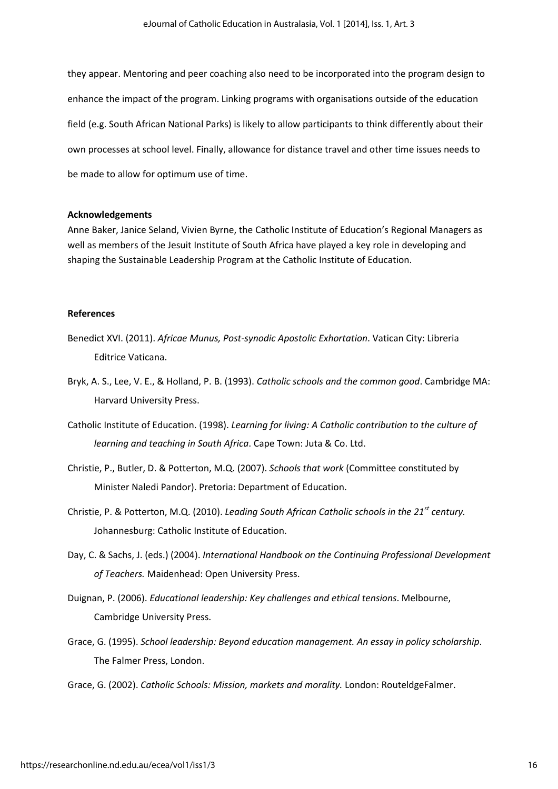they appear. Mentoring and peer coaching also need to be incorporated into the program design to enhance the impact of the program. Linking programs with organisations outside of the education field (e.g. South African National Parks) is likely to allow participants to think differently about their own processes at school level. Finally, allowance for distance travel and other time issues needs to be made to allow for optimum use of time.

#### Acknowledgements

Anne Baker, Janice Seland, Vivien Byrne, the Catholic Institute of Education's Regional Managers as well as members of the Jesuit Institute of South Africa have played a key role in developing and shaping the Sustainable Leadership Program at the Catholic Institute of Education.

#### References

- Benedict XVI. (2011). Africae Munus, Post-synodic Apostolic Exhortation. Vatican City: Libreria Editrice Vaticana.
- Bryk, A. S., Lee, V. E., & Holland, P. B. (1993). Catholic schools and the common good. Cambridge MA: Harvard University Press.
- Catholic Institute of Education. (1998). Learning for living: A Catholic contribution to the culture of learning and teaching in South Africa. Cape Town: Juta & Co. Ltd.
- Christie, P., Butler, D. & Potterton, M.Q. (2007). Schools that work (Committee constituted by Minister Naledi Pandor). Pretoria: Department of Education.
- Christie, P. & Potterton, M.Q. (2010). Leading South African Catholic schools in the  $21^{st}$  century. Johannesburg: Catholic Institute of Education.
- Day, C. & Sachs, J. (eds.) (2004). International Handbook on the Continuing Professional Development of Teachers. Maidenhead: Open University Press.
- Duignan, P. (2006). Educational leadership: Key challenges and ethical tensions. Melbourne, Cambridge University Press.
- Grace, G. (1995). School leadership: Beyond education management. An essay in policy scholarship. The Falmer Press, London.
- Grace, G. (2002). Catholic Schools: Mission, markets and morality. London: RouteldgeFalmer.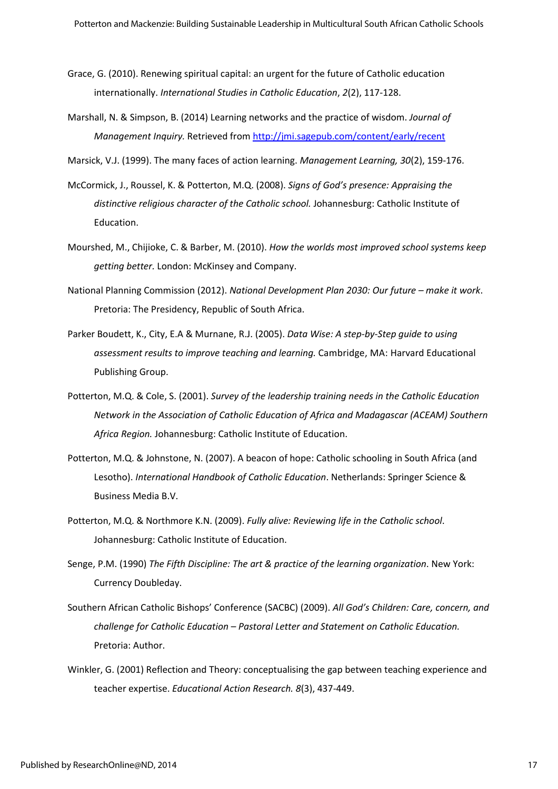- Grace, G. (2010). Renewing spiritual capital: an urgent for the future of Catholic education internationally. International Studies in Catholic Education, 2(2), 117-128.
- Marshall, N. & Simpson, B. (2014) Learning networks and the practice of wisdom. Journal of Management Inquiry. Retrieved from http://jmi.sagepub.com/content/early/recent
- Marsick, V.J. (1999). The many faces of action learning. Management Learning, 30(2), 159-176.
- McCormick, J., Roussel, K. & Potterton, M.Q. (2008). Signs of God's presence: Appraising the distinctive religious character of the Catholic school. Johannesburg: Catholic Institute of Education.
- Mourshed, M., Chijioke, C. & Barber, M. (2010). How the worlds most improved school systems keep getting better. London: McKinsey and Company.
- National Planning Commission (2012). National Development Plan 2030: Our future make it work. Pretoria: The Presidency, Republic of South Africa.
- Parker Boudett, K., City, E.A & Murnane, R.J. (2005). Data Wise: A step-by-Step guide to using assessment results to improve teaching and learning. Cambridge, MA: Harvard Educational Publishing Group.
- Potterton, M.Q. & Cole, S. (2001). Survey of the leadership training needs in the Catholic Education Network in the Association of Catholic Education of Africa and Madagascar (ACEAM) Southern Africa Region. Johannesburg: Catholic Institute of Education.
- Potterton, M.Q. & Johnstone, N. (2007). A beacon of hope: Catholic schooling in South Africa (and Lesotho). International Handbook of Catholic Education. Netherlands: Springer Science & Business Media B.V.
- Potterton, M.Q. & Northmore K.N. (2009). Fully alive: Reviewing life in the Catholic school. Johannesburg: Catholic Institute of Education.
- Senge, P.M. (1990) The Fifth Discipline: The art & practice of the learning organization. New York: Currency Doubleday.
- Southern African Catholic Bishops' Conference (SACBC) (2009). All God's Children: Care, concern, and challenge for Catholic Education – Pastoral Letter and Statement on Catholic Education. Pretoria: Author.
- Winkler, G. (2001) Reflection and Theory: conceptualising the gap between teaching experience and teacher expertise. Educational Action Research. 8(3), 437-449.